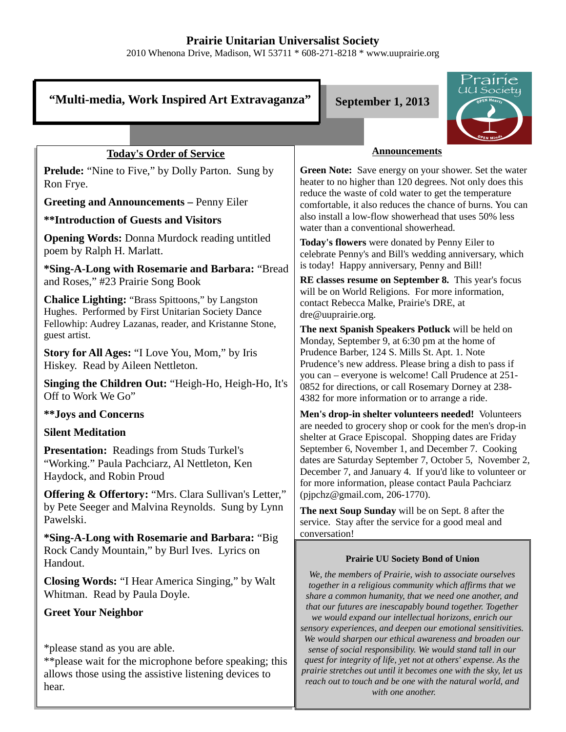# **Prairie Unitarian Universalist Society**

2010 Whenona Drive, Madison, WI 53711 \* 608-271-8218 \* www.uuprairie.org

#### rairie UU Society "Multi-media, Work Inspired Art Extravaganza" September 1, 2013 **Announcements Today's Order of Service Prelude:** "Nine to Five," by Dolly Parton. Sung by **Green Note:** Save energy on your shower. Set the water heater to no higher than 120 degrees. Not only does this Ron Frye. reduce the waste of cold water to get the temperature **Greeting and Announcements –** Penny Eiler comfortable, it also reduces the chance of burns. You can also install a low-flow showerhead that uses 50% less **\*\*Introduction of Guests and Visitors** water than a conventional showerhead. **Opening Words:** Donna Murdock reading untitled **Today's flowers** were donated by Penny Eiler to poem by Ralph H. Marlatt. celebrate Penny's and Bill's wedding anniversary, which is today! Happy anniversary, Penny and Bill! **\*Sing-A-Long with Rosemarie and Barbara:** "Bread **RE classes resume on September 8.** This year's focus and Roses," #23 Prairie Song Book will be on World Religions. For more information, **Chalice Lighting:** "Brass Spittoons," by Langston contact Rebecca Malke, Prairie's DRE, at Hughes. Performed by First Unitarian Society Dance dre@uuprairie.org. Fellowhip: Audrey Lazanas, reader, and Kristanne Stone, **The next Spanish Speakers Potluck** will be held on guest artist. Monday, September 9, at 6:30 pm at the home of Prudence Barber, 124 S. Mills St. Apt. 1. Note **Story for All Ages:** "I Love You, Mom," by Iris Prudence's new address. Please bring a dish to pass if Hiskey. Read by Aileen Nettleton. you can – everyone is welcome! Call Prudence at 251- **Singing the Children Out:** "Heigh-Ho, Heigh-Ho, It's 0852 for directions, or call Rosemary Dorney at 238- Off to Work We Go" 4382 for more information or to arrange a ride. **\*\*Joys and Concerns Men's drop-in shelter volunteers needed!** Volunteers are needed to grocery shop or cook for the men's drop-in **Silent Meditation** shelter at Grace Episcopal. Shopping dates are Friday September 6, November 1, and December 7. Cooking **Presentation:** Readings from Studs Turkel's dates are Saturday September 7, October 5, November 2, "Working." Paula Pachciarz, Al Nettleton, Ken December 7, and January 4. If you'd like to volunteer or Haydock, and Robin Proud for more information, please contact Paula Pachciarz **Offering & Offertory:** "Mrs. Clara Sullivan's Letter," (pjpchz@gmail.com, 206-1770). by Pete Seeger and Malvina Reynolds. Sung by Lynn **The next Soup Sunday** will be on Sept. 8 after the Pawelski. service. Stay after the service for a good meal and conversation! **\*Sing-A-Long with Rosemarie and Barbara:** "Big

### **Prairie UU Society Bond of Union**

*We, the members of Prairie, wish to associate ourselves together in a religious community which affirms that we share a common humanity, that we need one another, and that our futures are inescapably bound together. Together we would expand our intellectual horizons, enrich our sensory experiences, and deepen our emotional sensitivities. We would sharpen our ethical awareness and broaden our sense of social responsibility. We would stand tall in our quest for integrity of life, yet not at others' expense. As the prairie stretches out until it becomes one with the sky, let us reach out to touch and be one with the natural world, and with one another.* 

Rock Candy Mountain," by Burl Ives. Lyrics on Handout.

**Closing Words:** "I Hear America Singing," by Walt Whitman. Read by Paula Doyle.

## **Greet Your Neighbor**

\*please stand as you are able.

\*\*please wait for the microphone before speaking; this allows those using the assistive listening devices to hear.